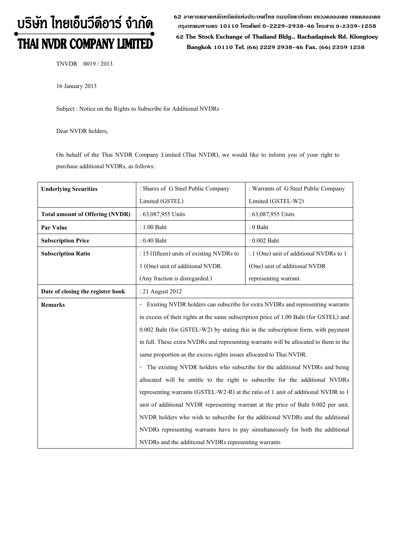# บริษัท ไทยเอ็นวีดีอาร์ จำกัด THAI NVDR COMPANY LIMITED

62 อาดารตลาดหลักทรัพย์แห่งประเทศไทย ถนนรัซดาภิเษก แขวงดลองเตย เขตดลองเตย **ก"# 10110 & 0-2229-2938-46 &, 0-2359-1258**

 **62 The Stock Exchange of Thailand Bldg., Rachadapisek Rd. Klongtoey Bangkok 10110 Tel. (66) 2229 2938-46 Fax. (66) 2359 1258**

TNVDR 0019 / 2013

16 January 2013

Subject : Notice on the Rights to Subscribe for Additional NVDRs

Dear NVDR holders,

On behalf of the Thai NVDR Company Limited (Thai NVDR), we would like to inform you of your right to purchase additional NVDRs, as follows:

| <b>Underlying Securities</b>           | : Shares of G Steel Public Company<br>: Warrants of G Steel Public Company            |                                         |  |
|----------------------------------------|---------------------------------------------------------------------------------------|-----------------------------------------|--|
|                                        | Limited (GSTEL)                                                                       | Limited (GSTEL-W2)                      |  |
| <b>Total amount of Offering (NVDR)</b> | : 63,087,955 Units                                                                    | : 63,087,955 Units                      |  |
| Par Value                              | : 1.00 Baht                                                                           | $: 0$ Baht                              |  |
| <b>Subscription Price</b>              | $: 0.40$ Baht                                                                         | $: 0.002$ Baht                          |  |
| <b>Subscription Ratio</b>              | : 15 (fifteen) units of existing NVDRs to                                             | : 1 (One) unit of additional NVDRs to 1 |  |
|                                        | 1 (One) unit of additional NVDR.                                                      | (One) unit of additional NVDR           |  |
|                                        | (Any fraction is disregarded.)                                                        | representing warrant.                   |  |
| Date of closing the register book      | : 21 August 2012                                                                      |                                         |  |
| <b>Remarks</b>                         | Existing NVDR holders can subscribe for extra NVDRs and representing warrants         |                                         |  |
|                                        | in excess of their rights at the same subscription price of 1.00 Baht (for GSTEL) and |                                         |  |
|                                        | 0.002 Baht (for GSTEL-W2) by stating this in the subscription form, with payment      |                                         |  |
|                                        | in full. These extra NVDRs and representing warrants will be allocated to them in the |                                         |  |
|                                        | same proportion as the excess rights issues allocated to Thai NVDR.                   |                                         |  |
|                                        | - The existing NVDR holders who subscribe for the additional NVDRs and being          |                                         |  |
|                                        | allocated will be entitle to the right to subscribe for the additional NVDRs          |                                         |  |
|                                        | representing warrants (GSTEL-W2-R) at the ratio of 1 unit of additional NVDR to 1     |                                         |  |
|                                        | unit of additional NVDR representing warrant at the price of Baht 0.002 per unit.     |                                         |  |
|                                        | NVDR holders who wish to subscribe for the additional NVDRs and the additional        |                                         |  |
|                                        | NVDRs representing warrants have to pay simultaneously for both the additional        |                                         |  |
|                                        | NVDRs and the additional NVDRs representing warrants                                  |                                         |  |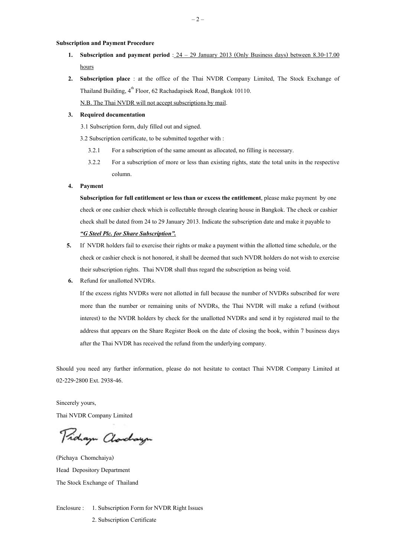## **Subscription and Payment Procedure**

- **1. Subscription and payment period** : 24 < 29 January 2013 (Only Business days) between 8.30-17.00 hours
- **2. Subscription place** : at the office of the Thai NVDR Company Limited, The Stock Exchange of Thailand Building, 4<sup>th</sup> Floor, 62 Rachadapisek Road, Bangkok 10110.

N.B. The Thai NVDR will not accept subscriptions by mail.

## **3. Required documentation**

3.1 Subscription form, duly filled out and signed.

3.2 Subscription certificate, to be submitted together with :

- 3.2.1 For a subscription of the same amount as allocated, no filling is necessary.
- 3.2.2 For a subscription of more or less than existing rights, state the total units in the respective column.

#### **4. Payment**

**Subscription for full entitlement or less than or excess the entitlement**, please make payment by one check or one cashier check which is collectable through clearing house in Bangkok. The check or cashier check shall be dated from 24 to 29 January 2013. Indicate the subscription date and make it payable to *-G Steel Plc. for Share Subscription.*

- **5.** If NVDR holders fail to exercise their rights or make a payment within the allotted time schedule, or the check or cashier check is not honored, it shall be deemed that such NVDR holders do not wish to exercise their subscription rights. Thai NVDR shall thus regard the subscription as being void.
- **6.** Refund for unallotted NVDRs.

If the excess rights NVDRs were not allotted in full because the number of NVDRs subscribed for were more than the number or remaining units of NVDRs, the Thai NVDR will make a refund (without interest) to the NVDR holders by check for the unallotted NVDRs and send it by registered mail to the address that appears on the Share Register Book on the date of closing the book, within 7 business days after the Thai NVDR has received the refund from the underlying company.

Should you need any further information, please do not hesitate to contact Thai NVDR Company Limited at 02-229-2800 Ext. 2938-46.

Sincerely yours,

Thai NVDR Company Limited

Pridaya Clarchaya

(Pichaya Chomchaiya) Head Depository Department The Stock Exchange of Thailand

Enclosure : 1. Subscription Form for NVDR Right Issues 2. Subscription Certificate